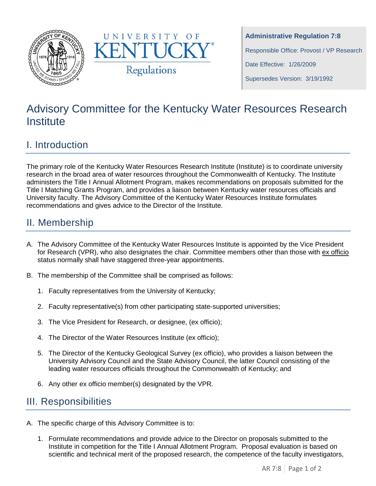



**Administrative Regulation 7:8** Responsible Office: Provost / VP Research Date Effective: 1/26/2009 Supersedes Version: 3/19/1992

# Advisory Committee for the Kentucky Water Resources Research **Institute**

### I. Introduction

The primary role of the Kentucky Water Resources Research Institute (Institute) is to coordinate university research in the broad area of water resources throughout the Commonwealth of Kentucky. The Institute administers the Title I Annual Allotment Program, makes recommendations on proposals submitted for the Title I Matching Grants Program, and provides a liaison between Kentucky water resources officials and University faculty. The Advisory Committee of the Kentucky Water Resources Institute formulates recommendations and gives advice to the Director of the Institute.

### II. Membership

- A. The Advisory Committee of the Kentucky Water Resources Institute is appointed by the Vice President for Research (VPR), who also designates the chair. Committee members other than those with ex officio status normally shall have staggered three-year appointments.
- B. The membership of the Committee shall be comprised as follows:
	- 1. Faculty representatives from the University of Kentucky;
	- 2. Faculty representative(s) from other participating state-supported universities;
	- 3. The Vice President for Research, or designee, (ex officio);
	- 4. The Director of the Water Resources Institute (ex officio);
	- 5. The Director of the Kentucky Geological Survey (ex officio), who provides a liaison between the University Advisory Council and the State Advisory Council, the latter Council consisting of the leading water resources officials throughout the Commonwealth of Kentucky; and
	- 6. Any other ex officio member(s) designated by the VPR*.*

## III. Responsibilities

- A. The specific charge of this Advisory Committee is to:
	- 1. Formulate recommendations and provide advice to the Director on proposals submitted to the Institute in competition for the Title I Annual Allotment Program. Proposal evaluation is based on scientific and technical merit of the proposed research, the competence of the faculty investigators,